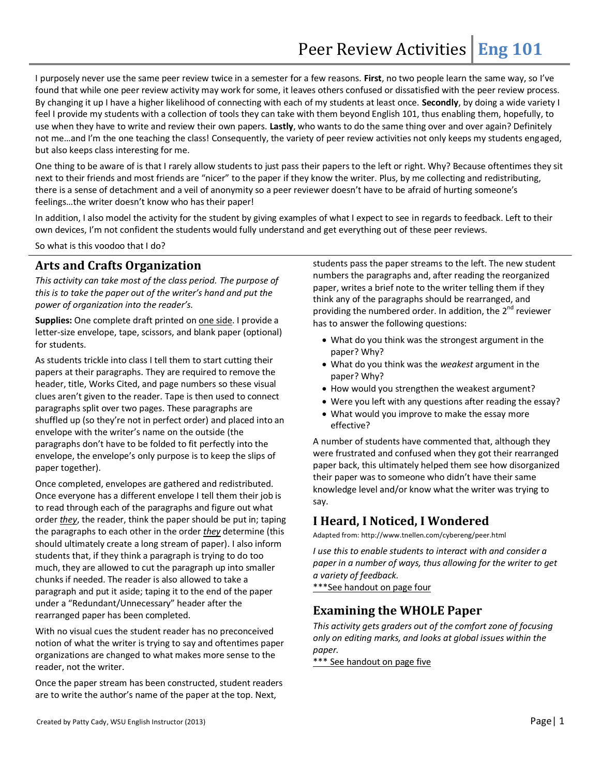I purposely never use the same peer review twice in a semester for a few reasons. **First**, no two people learn the same way, so I've found that while one peer review activity may work for some, it leaves others confused or dissatisfied with the peer review process. By changing it up I have a higher likelihood of connecting with each of my students at least once. **Secondly**, by doing a wide variety I feel I provide my students with a collection of tools they can take with them beyond English 101, thus enabling them, hopefully, to use when they have to write and review their own papers. **Lastly**, who wants to do the same thing over and over again? Definitely not me…and I'm the one teaching the class! Consequently, the variety of peer review activities not only keeps my students engaged, but also keeps class interesting for me.

One thing to be aware of is that I rarely allow students to just pass their papers to the left or right. Why? Because oftentimes they sit next to their friends and most friends are "nicer" to the paper if they know the writer. Plus, by me collecting and redistributing, there is a sense of detachment and a veil of anonymity so a peer reviewer doesn't have to be afraid of hurting someone's feelings…the writer doesn't know who has their paper!

In addition, I also model the activity for the student by giving examples of what I expect to see in regards to feedback. Left to their own devices, I'm not confident the students would fully understand and get everything out of these peer reviews.

So what is this voodoo that I do?

### **Arts and Crafts Organization**

*This activity can take most of the class period. The purpose of this is to take the paper out of the writer's hand and put the power of organization into the reader's.* 

**Supplies:** One complete draft printed on one side. I provide a letter-size envelope, tape, scissors, and blank paper (optional) for students.

As students trickle into class I tell them to start cutting their papers at their paragraphs. They are required to remove the header, title, Works Cited, and page numbers so these visual clues aren't given to the reader. Tape is then used to connect paragraphs split over two pages. These paragraphs are shuffled up (so they're not in perfect order) and placed into an envelope with the writer's name on the outside (the paragraphs don't have to be folded to fit perfectly into the envelope, the envelope's only purpose is to keep the slips of paper together).

Once completed, envelopes are gathered and redistributed. Once everyone has a different envelope I tell them their job is to read through each of the paragraphs and figure out what order *they*, the reader, think the paper should be put in; taping the paragraphs to each other in the order *they* determine (this should ultimately create a long stream of paper). I also inform students that, if they think a paragraph is trying to do too much, they are allowed to cut the paragraph up into smaller chunks if needed. The reader is also allowed to take a paragraph and put it aside; taping it to the end of the paper under a "Redundant/Unnecessary" header after the rearranged paper has been completed.

With no visual cues the student reader has no preconceived notion of what the writer is trying to say and oftentimes paper organizations are changed to what makes more sense to the reader, not the writer.

Once the paper stream has been constructed, student readers are to write the author's name of the paper at the top. Next,

students pass the paper streams to the left. The new student numbers the paragraphs and, after reading the reorganized paper, writes a brief note to the writer telling them if they think any of the paragraphs should be rearranged, and providing the numbered order. In addition, the 2<sup>nd</sup> reviewer has to answer the following questions:

- What do you think was the strongest argument in the paper? Why?
- What do you think was the *weakest* argument in the paper? Why?
- How would you strengthen the weakest argument?
- Were you left with any questions after reading the essay?
- What would you improve to make the essay more effective?

A number of students have commented that, although they were frustrated and confused when they got their rearranged paper back, this ultimately helped them see how disorganized their paper was to someone who didn't have their same knowledge level and/or know what the writer was trying to say.

## **I Heard, I Noticed, I Wondered**

Adapted from: http://www.tnellen.com/cybereng/peer.html

*I use this to enable students to interact with and consider a paper in a number of ways, thus allowing for the writer to get a variety of feedback.*

\*\*\*See handout on page four

## **Examining the WHOLE Paper**

*This activity gets graders out of the comfort zone of focusing only on editing marks, and looks at global issues within the paper.*

\*\*\* See handout on page five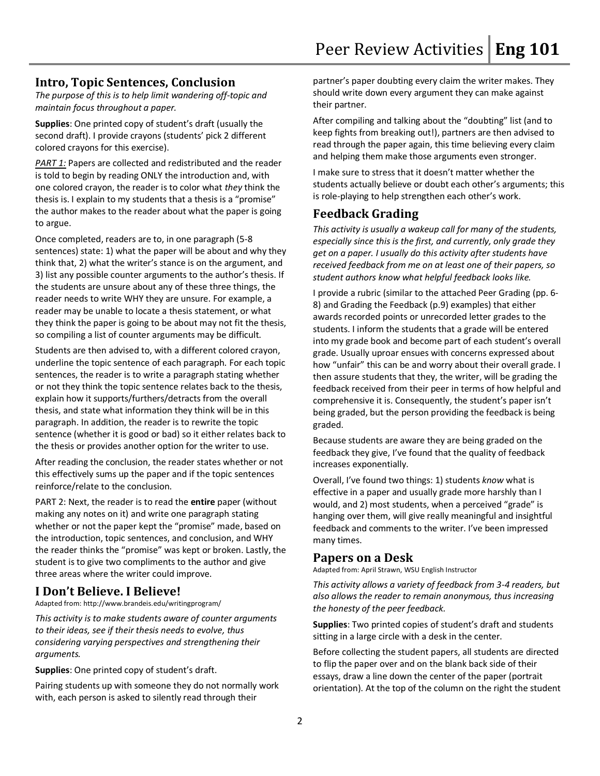### **Intro, Topic Sentences, Conclusion**

*The purpose of this is to help limit wandering off-topic and maintain focus throughout a paper.*

**Supplies**: One printed copy of student's draft (usually the second draft). I provide crayons (students' pick 2 different colored crayons for this exercise).

*PART 1:* Papers are collected and redistributed and the reader is told to begin by reading ONLY the introduction and, with one colored crayon, the reader is to color what *they* think the thesis is. I explain to my students that a thesis is a "promise" the author makes to the reader about what the paper is going to argue.

Once completed, readers are to, in one paragraph (5-8 sentences) state: 1) what the paper will be about and why they think that, 2) what the writer's stance is on the argument, and 3) list any possible counter arguments to the author's thesis. If the students are unsure about any of these three things, the reader needs to write WHY they are unsure. For example, a reader may be unable to locate a thesis statement, or what they think the paper is going to be about may not fit the thesis, so compiling a list of counter arguments may be difficult.

Students are then advised to, with a different colored crayon, underline the topic sentence of each paragraph. For each topic sentences, the reader is to write a paragraph stating whether or not they think the topic sentence relates back to the thesis, explain how it supports/furthers/detracts from the overall thesis, and state what information they think will be in this paragraph. In addition, the reader is to rewrite the topic sentence (whether it is good or bad) so it either relates back to the thesis or provides another option for the writer to use.

After reading the conclusion, the reader states whether or not this effectively sums up the paper and if the topic sentences reinforce/relate to the conclusion.

PART 2: Next, the reader is to read the **entire** paper (without making any notes on it) and write one paragraph stating whether or not the paper kept the "promise" made, based on the introduction, topic sentences, and conclusion, and WHY the reader thinks the "promise" was kept or broken. Lastly, the student is to give two compliments to the author and give three areas where the writer could improve.

### **I Don't Believe. I Believe!**

Adapted from: http://www.brandeis.edu/writingprogram/

*This activity is to make students aware of counter arguments to their ideas, see if their thesis needs to evolve, thus considering varying perspectives and strengthening their arguments.*

**Supplies**: One printed copy of student's draft.

Pairing students up with someone they do not normally work with, each person is asked to silently read through their

partner's paper doubting every claim the writer makes. They should write down every argument they can make against their partner.

After compiling and talking about the "doubting" list (and to keep fights from breaking out!), partners are then advised to read through the paper again, this time believing every claim and helping them make those arguments even stronger.

I make sure to stress that it doesn't matter whether the students actually believe or doubt each other's arguments; this is role-playing to help strengthen each other's work.

## **Feedback Grading**

*This activity is usually a wakeup call for many of the students, especially since this is the first, and currently, only grade they get on a paper. I usually do this activity after students have received feedback from me on at least one of their papers, so student authors know what helpful feedback looks like.*

I provide a rubric (similar to the attached Peer Grading (pp. 6- 8) and Grading the Feedback (p.9) examples) that either awards recorded points or unrecorded letter grades to the students. I inform the students that a grade will be entered into my grade book and become part of each student's overall grade. Usually uproar ensues with concerns expressed about how "unfair" this can be and worry about their overall grade. I then assure students that they, the writer, will be grading the feedback received from their peer in terms of how helpful and comprehensive it is. Consequently, the student's paper isn't being graded, but the person providing the feedback is being graded.

Because students are aware they are being graded on the feedback they give, I've found that the quality of feedback increases exponentially.

Overall, I've found two things: 1) students *know* what is effective in a paper and usually grade more harshly than I would, and 2) most students, when a perceived "grade" is hanging over them, will give really meaningful and insightful feedback and comments to the writer. I've been impressed many times.

### **Papers on a Desk**

Adapted from: April Strawn, WSU English Instructor

*This activity allows a variety of feedback from 3-4 readers, but also allows the reader to remain anonymous, thus increasing the honesty of the peer feedback.*

**Supplies**: Two printed copies of student's draft and students sitting in a large circle with a desk in the center.

Before collecting the student papers, all students are directed to flip the paper over and on the blank back side of their essays, draw a line down the center of the paper (portrait orientation). At the top of the column on the right the student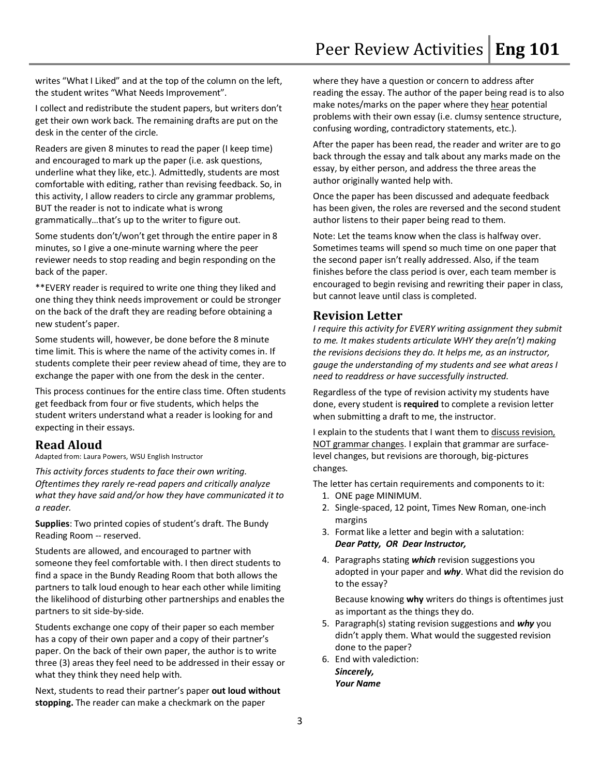writes "What I Liked" and at the top of the column on the left, the student writes "What Needs Improvement".

I collect and redistribute the student papers, but writers don't get their own work back. The remaining drafts are put on the desk in the center of the circle.

Readers are given 8 minutes to read the paper (I keep time) and encouraged to mark up the paper (i.e. ask questions, underline what they like, etc.). Admittedly, students are most comfortable with editing, rather than revising feedback. So, in this activity, I allow readers to circle any grammar problems, BUT the reader is not to indicate what is wrong grammatically…that's up to the writer to figure out.

Some students don't/won't get through the entire paper in 8 minutes, so I give a one-minute warning where the peer reviewer needs to stop reading and begin responding on the back of the paper.

\*\*EVERY reader is required to write one thing they liked and one thing they think needs improvement or could be stronger on the back of the draft they are reading before obtaining a new student's paper.

Some students will, however, be done before the 8 minute time limit. This is where the name of the activity comes in. If students complete their peer review ahead of time, they are to exchange the paper with one from the desk in the center.

This process continues for the entire class time. Often students get feedback from four or five students, which helps the student writers understand what a reader is looking for and expecting in their essays.

## **Read Aloud**

Adapted from: Laura Powers, WSU English Instructor

*This activity forces students to face their own writing. Oftentimes they rarely re-read papers and critically analyze what they have said and/or how they have communicated it to a reader.*

**Supplies**: Two printed copies of student's draft. The Bundy Reading Room -- reserved.

Students are allowed, and encouraged to partner with someone they feel comfortable with. I then direct students to find a space in the Bundy Reading Room that both allows the partners to talk loud enough to hear each other while limiting the likelihood of disturbing other partnerships and enables the partners to sit side-by-side.

Students exchange one copy of their paper so each member has a copy of their own paper and a copy of their partner's paper. On the back of their own paper, the author is to write three (3) areas they feel need to be addressed in their essay or what they think they need help with.

Next, students to read their partner's paper **out loud without stopping.** The reader can make a checkmark on the paper

where they have a question or concern to address after reading the essay. The author of the paper being read is to also make notes/marks on the paper where they hear potential problems with their own essay (i.e. clumsy sentence structure, confusing wording, contradictory statements, etc.).

After the paper has been read, the reader and writer are to go back through the essay and talk about any marks made on the essay, by either person, and address the three areas the author originally wanted help with.

Once the paper has been discussed and adequate feedback has been given, the roles are reversed and the second student author listens to their paper being read to them.

Note: Let the teams know when the class is halfway over. Sometimes teams will spend so much time on one paper that the second paper isn't really addressed. Also, if the team finishes before the class period is over, each team member is encouraged to begin revising and rewriting their paper in class, but cannot leave until class is completed.

## **Revision Letter**

*I require this activity for EVERY writing assignment they submit to me. It makes students articulate WHY they are(n't) making the revisions decisions they do. It helps me, as an instructor, gauge the understanding of my students and see what areas I need to readdress or have successfully instructed.*

Regardless of the type of revision activity my students have done, every student is **required** to complete a revision letter when submitting a draft to me, the instructor.

I explain to the students that I want them to discuss revision, NOT grammar changes. I explain that grammar are surfacelevel changes, but revisions are thorough, big-pictures changes.

The letter has certain requirements and components to it:

- 1. ONE page MINIMUM.
- 2. Single-spaced, 12 point, Times New Roman, one-inch margins
- 3. Format like a letter and begin with a salutation: *Dear Patty, OR Dear Instructor,*
- 4. Paragraphs stating *which* revision suggestions you adopted in your paper and *why*. What did the revision do to the essay?

Because knowing **why** writers do things is oftentimes just as important as the things they do.

- 5. Paragraph(s) stating revision suggestions and *why* you didn't apply them. What would the suggested revision done to the paper?
- 6. End with valediction: *Sincerely, Your Name*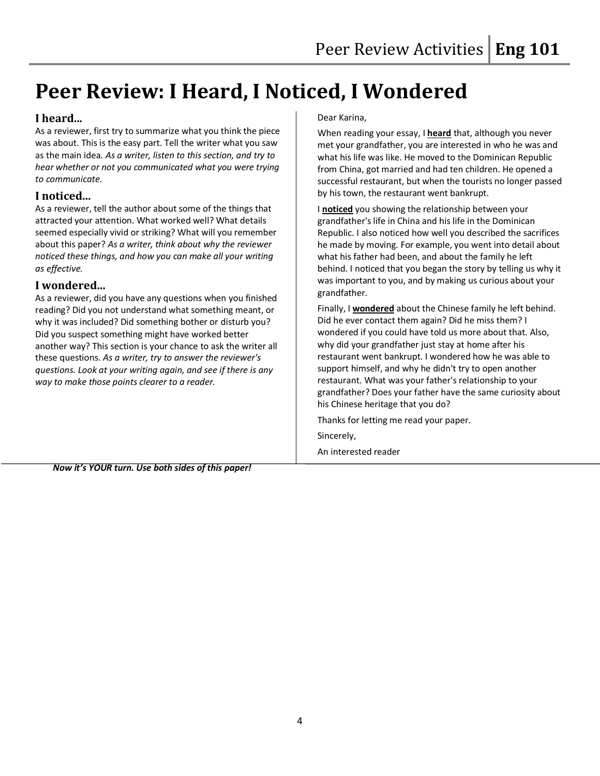# **Peer Review: I Heard, I Noticed, I Wondered**

## **I heard...**

As a reviewer, first try to summarize what you think the piece was about. This is the easy part. Tell the writer what you saw as the main idea. *As a writer, listen to this section, and try to hear whether or not you communicated what you were trying to communicate.* 

### **I noticed...**

As a reviewer, tell the author about some of the things that attracted your attention. What worked well? What details seemed especially vivid or striking? What will you remember about this paper? *As a writer, think about why the reviewer noticed these things, and how you can make all your writing as effective.* 

### **I wondered...**

As a reviewer, did you have any questions when you finished reading? Did you not understand what something meant, or why it was included? Did something bother or disturb you? Did you suspect something might have worked better another way? This section is your chance to ask the writer all these questions. *As a writer, try to answer the reviewer's questions. Look at your writing again, and see if there is any way to make those points clearer to a reader.*

### Dear Karina,

When reading your essay, I **heard** that, although you never met your grandfather, you are interested in who he was and what his life was like. He moved to the Dominican Republic from China, got married and had ten children. He opened a successful restaurant, but when the tourists no longer passed by his town, the restaurant went bankrupt.

I **noticed** you showing the relationship between your grandfather's life in China and his life in the Dominican Republic. I also noticed how well you described the sacrifices he made by moving. For example, you went into detail about what his father had been, and about the family he left behind. I noticed that you began the story by telling us why it was important to you, and by making us curious about your grandfather.

Finally, I **wondered** about the Chinese family he left behind. Did he ever contact them again? Did he miss them? I wondered if you could have told us more about that. Also, why did your grandfather just stay at home after his restaurant went bankrupt. I wondered how he was able to support himself, and why he didn't try to open another restaurant. What was your father's relationship to your grandfather? Does your father have the same curiosity about his Chinese heritage that you do?

Thanks for letting me read your paper.

Sincerely,

An interested reader

*Now it's YOUR turn. Use both sides of this paper!*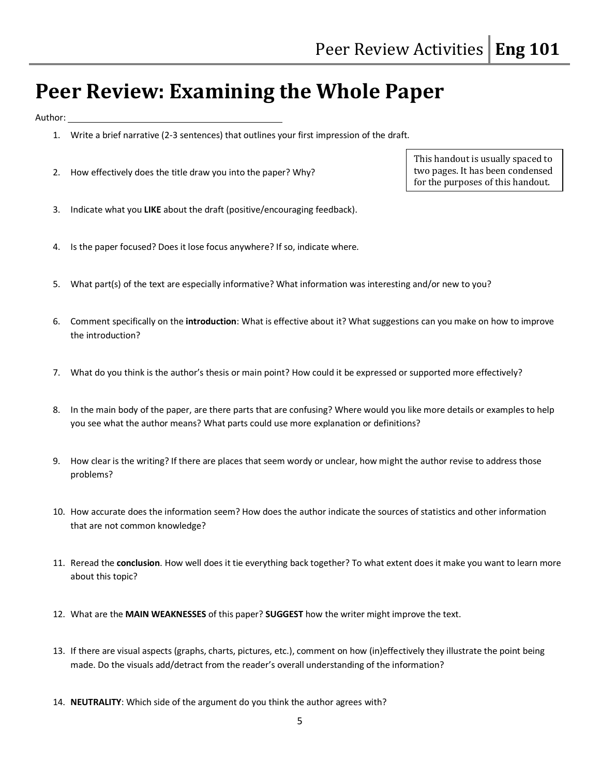## **Peer Review: Examining the Whole Paper**

Author:

- 1. Write a brief narrative (2-3 sentences) that outlines your first impression of the draft.
- 2. How effectively does the title draw you into the paper? Why?
- 3. Indicate what you **LIKE** about the draft (positive/encouraging feedback).
- 4. Is the paper focused? Does it lose focus anywhere? If so, indicate where.
- 5. What part(s) of the text are especially informative? What information was interesting and/or new to you?
- 6. Comment specifically on the **introduction**: What is effective about it? What suggestions can you make on how to improve the introduction?
- 7. What do you think is the author's thesis or main point? How could it be expressed or supported more effectively?
- 8. In the main body of the paper, are there parts that are confusing? Where would you like more details or examples to help you see what the author means? What parts could use more explanation or definitions?
- 9. How clear is the writing? If there are places that seem wordy or unclear, how might the author revise to address those problems?
- 10. How accurate does the information seem? How does the author indicate the sources of statistics and other information that are not common knowledge?
- 11. Reread the **conclusion**. How well does it tie everything back together? To what extent does it make you want to learn more about this topic?
- 12. What are the **MAIN WEAKNESSES** of this paper? **SUGGEST** how the writer might improve the text.
- 13. If there are visual aspects (graphs, charts, pictures, etc.), comment on how (in)effectively they illustrate the point being made. Do the visuals add/detract from the reader's overall understanding of the information?
- 14. **NEUTRALITY**: Which side of the argument do you think the author agrees with?

This handout is usually spaced to two pages. It has been condensed for the purposes of this handout.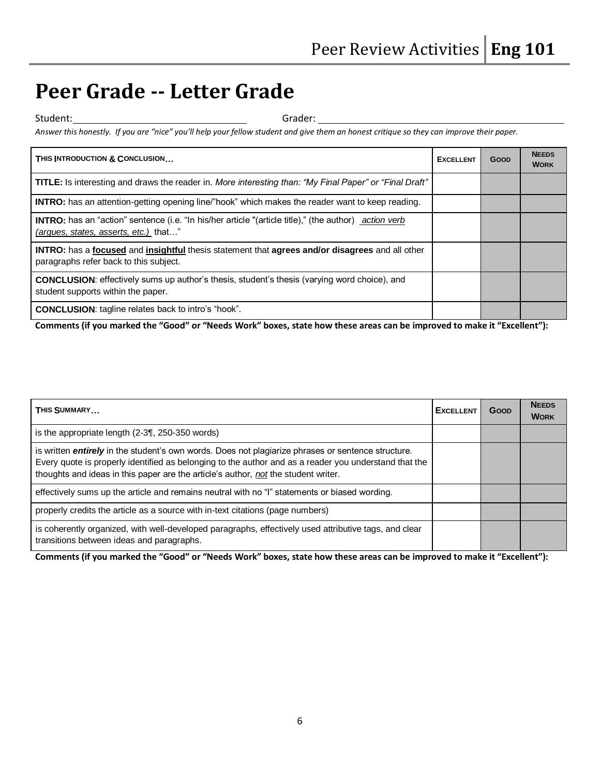## **Peer Grade -- Letter Grade**

Student: Grader:

*Answer this honestly. If you are "nice" you'll help your fellow student and give them an honest critique so they can improve their paper.*

| THIS INTRODUCTION & CONCLUSION                                                                                                                               | <b>EXCELLENT</b> | GOOD | <b>NEEDS</b><br><b>WORK</b> |
|--------------------------------------------------------------------------------------------------------------------------------------------------------------|------------------|------|-----------------------------|
| <b>TITLE:</b> Is interesting and draws the reader in. More interesting than: "My Final Paper" or "Final Draft"                                               |                  |      |                             |
| <b>INTRO:</b> has an attention-getting opening line/"hook" which makes the reader want to keep reading.                                                      |                  |      |                             |
| <b>INTRO:</b> has an "action" sentence (i.e. "In his/her article "(article title)," (the author) <i>action verb</i><br>(argues, states, asserts, etc.) that" |                  |      |                             |
| INTRO: has a focused and insightful thesis statement that agrees and/or disagrees and all other<br>paragraphs refer back to this subject.                    |                  |      |                             |
| <b>CONCLUSION:</b> effectively sums up author's thesis, student's thesis (varying word choice), and<br>student supports within the paper.                    |                  |      |                             |
| <b>CONCLUSION:</b> tagline relates back to intro's "hook".                                                                                                   |                  |      |                             |

**Comments (if you marked the "Good" or "Needs Work" boxes, state how these areas can be improved to make it "Excellent"):**

| THIS SUMMARY                                                                                                                                                                                                                                                                                      | <b>EXCELLENT</b> | Goop | <b>NEEDS</b><br><b>WORK</b> |
|---------------------------------------------------------------------------------------------------------------------------------------------------------------------------------------------------------------------------------------------------------------------------------------------------|------------------|------|-----------------------------|
| is the appropriate length $(2-3)$ , 250-350 words)                                                                                                                                                                                                                                                |                  |      |                             |
| is written entirely in the student's own words. Does not plagiarize phrases or sentence structure.<br>Every quote is properly identified as belonging to the author and as a reader you understand that the<br>thoughts and ideas in this paper are the article's author, not the student writer. |                  |      |                             |
| effectively sums up the article and remains neutral with no "I" statements or biased wording.                                                                                                                                                                                                     |                  |      |                             |
| properly credits the article as a source with in-text citations (page numbers)                                                                                                                                                                                                                    |                  |      |                             |
| is coherently organized, with well-developed paragraphs, effectively used attributive tags, and clear<br>transitions between ideas and paragraphs.                                                                                                                                                |                  |      |                             |

**Comments (if you marked the "Good" or "Needs Work" boxes, state how these areas can be improved to make it "Excellent"):**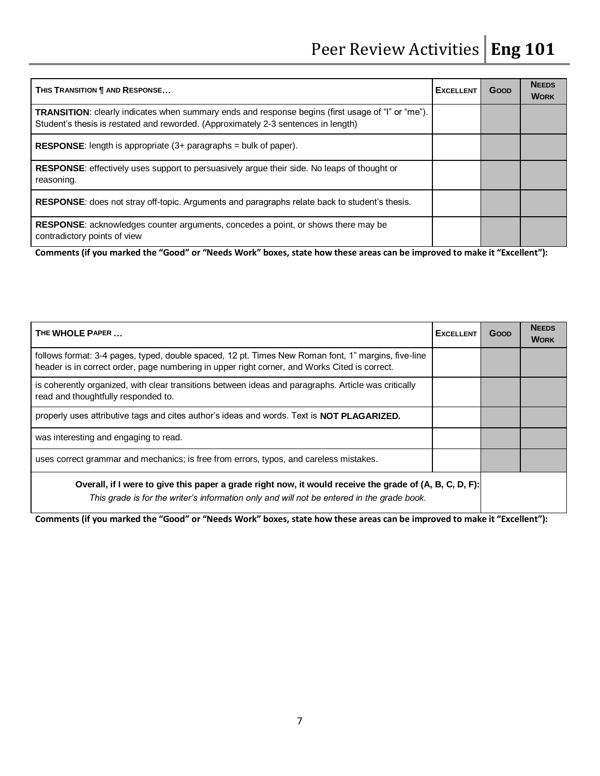| THIS TRANSITION ¶ AND RESPONSE                                                                                                                                                                 | <b>EXCELLENT</b> | Goop | <b>NEEDS</b><br><b>WORK</b> |
|------------------------------------------------------------------------------------------------------------------------------------------------------------------------------------------------|------------------|------|-----------------------------|
| <b>TRANSITION:</b> clearly indicates when summary ends and response begins (first usage of "I" or "me").<br>Student's thesis is restated and reworded. (Approximately 2-3 sentences in length) |                  |      |                             |
| <b>RESPONSE:</b> length is appropriate $(3+)$ paragraphs = bulk of paper).                                                                                                                     |                  |      |                             |
| <b>RESPONSE:</b> effectively uses support to persuasively argue their side. No leaps of thought or<br>reasoning.                                                                               |                  |      |                             |
| <b>RESPONSE:</b> does not stray off-topic. Arguments and paragraphs relate back to student's thesis.                                                                                           |                  |      |                             |
| <b>RESPONSE:</b> acknowledges counter arguments, concedes a point, or shows there may be<br>contradictory points of view                                                                       |                  |      |                             |

**Comments (if you marked the "Good" or "Needs Work" boxes, state how these areas can be improved to make it "Excellent"):**

| THE WHOLE PAPER                                                                                                                                                                                       | <b>EXCELLENT</b> | Goop | <b>NEEDS</b><br><b>WORK</b> |
|-------------------------------------------------------------------------------------------------------------------------------------------------------------------------------------------------------|------------------|------|-----------------------------|
| follows format: 3-4 pages, typed, double spaced, 12 pt. Times New Roman font, 1" margins, five-line<br>header is in correct order, page numbering in upper right corner, and Works Cited is correct.  |                  |      |                             |
| is coherently organized, with clear transitions between ideas and paragraphs. Article was critically<br>read and thoughtfully responded to.                                                           |                  |      |                             |
| properly uses attributive tags and cites author's ideas and words. Text is <b>NOT PLAGARIZED.</b>                                                                                                     |                  |      |                             |
| was interesting and engaging to read.                                                                                                                                                                 |                  |      |                             |
| uses correct grammar and mechanics; is free from errors, typos, and careless mistakes.                                                                                                                |                  |      |                             |
| Overall, if I were to give this paper a grade right now, it would receive the grade of (A, B, C, D, F):<br>This grade is for the writer's information only and will not be entered in the grade book. |                  |      |                             |

**Comments (if you marked the "Good" or "Needs Work" boxes, state how these areas can be improved to make it "Excellent"):**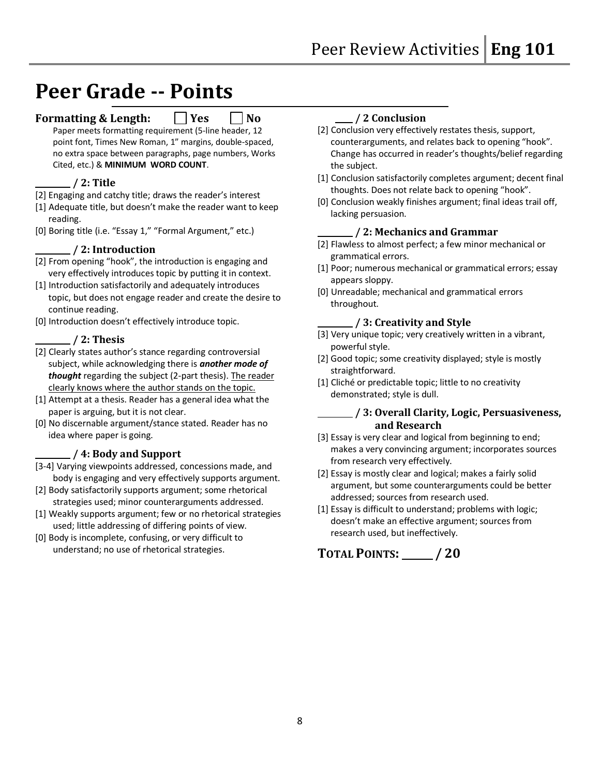## **Peer Grade -- Points**

### **Formatting & Length:** Yes No

Paper meets formatting requirement (5-line header, 12 point font, Times New Roman, 1" margins, double-spaced, no extra space between paragraphs, page numbers, Works Cited, etc.) & **MINIMUM WORD COUNT**.

### **/ 2: Title**

- [2] Engaging and catchy title; draws the reader's interest
- [1] Adequate title, but doesn't make the reader want to keep reading.
- [0] Boring title (i.e. "Essay 1," "Formal Argument," etc.)

#### **/ 2: Introduction**

- [2] From opening "hook", the introduction is engaging and very effectively introduces topic by putting it in context.
- [1] Introduction satisfactorily and adequately introduces topic, but does not engage reader and create the desire to continue reading.
- [0] Introduction doesn't effectively introduce topic.

### **/ 2: Thesis**

- [2] Clearly states author's stance regarding controversial subject, while acknowledging there is *another mode of thought* regarding the subject (2-part thesis). The reader clearly knows where the author stands on the topic.
- [1] Attempt at a thesis. Reader has a general idea what the paper is arguing, but it is not clear.
- [0] No discernable argument/stance stated. Reader has no idea where paper is going.

#### **/ 4: Body and Support**

- [3-4] Varying viewpoints addressed, concessions made, and body is engaging and very effectively supports argument.
- [2] Body satisfactorily supports argument; some rhetorical strategies used; minor counterarguments addressed.
- [1] Weakly supports argument; few or no rhetorical strategies used; little addressing of differing points of view.
- [0] Body is incomplete, confusing, or very difficult to understand; no use of rhetorical strategies.

#### **/ 2 Conclusion**

- [2] Conclusion very effectively restates thesis, support, counterarguments, and relates back to opening "hook". Change has occurred in reader's thoughts/belief regarding the subject.
- [1] Conclusion satisfactorily completes argument; decent final thoughts. Does not relate back to opening "hook".
- [0] Conclusion weakly finishes argument; final ideas trail off, lacking persuasion.

### **/ 2: Mechanics and Grammar**

- [2] Flawless to almost perfect; a few minor mechanical or grammatical errors.
- [1] Poor; numerous mechanical or grammatical errors; essay appears sloppy.
- [0] Unreadable; mechanical and grammatical errors throughout.

#### **/ 3: Creativity and Style**

- [3] Very unique topic; very creatively written in a vibrant, powerful style.
- [2] Good topic; some creativity displayed; style is mostly straightforward.
- [1] Cliché or predictable topic; little to no creativity demonstrated; style is dull.

### **/ 3: Overall Clarity, Logic, Persuasiveness, and Research**

- [3] Essay is very clear and logical from beginning to end; makes a very convincing argument; incorporates sources from research very effectively.
- [2] Essay is mostly clear and logical; makes a fairly solid argument, but some counterarguments could be better addressed; sources from research used.
- [1] Essay is difficult to understand; problems with logic; doesn't make an effective argument; sources from research used, but ineffectively.

## **TOTAL POINTS: / 20**